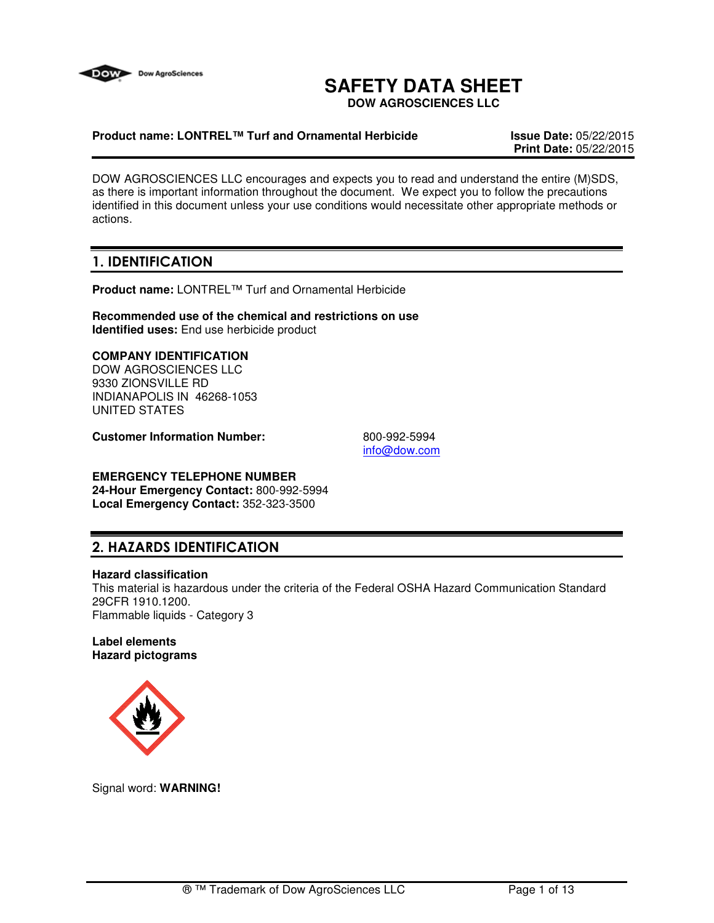

# **SAFETY DATA SHEET**

**DOW AGROSCIENCES LLC**

### **Product name: LONTREL™ Turf and Ornamental Herbicide Issue Date:** 05/22/2015

**Print Date:** 05/22/2015

DOW AGROSCIENCES LLC encourages and expects you to read and understand the entire (M)SDS, as there is important information throughout the document. We expect you to follow the precautions identified in this document unless your use conditions would necessitate other appropriate methods or actions.

# 1. IDENTIFICATION

**Product name:** LONTREL™ Turf and Ornamental Herbicide

**Recommended use of the chemical and restrictions on use Identified uses:** End use herbicide product

### **COMPANY IDENTIFICATION**

DOW AGROSCIENCES LLC 9330 ZIONSVILLE RD INDIANAPOLIS IN 46268-1053 UNITED STATES

**Customer Information Number:** 800-992-5994

info@dow.com

# **EMERGENCY TELEPHONE NUMBER**

**24-Hour Emergency Contact:** 800-992-5994 **Local Emergency Contact:** 352-323-3500

# 2. HAZARDS IDENTIFICATION

### **Hazard classification**

This material is hazardous under the criteria of the Federal OSHA Hazard Communication Standard 29CFR 1910.1200. Flammable liquids - Category 3

### **Label elements Hazard pictograms**



Signal word: **WARNING!**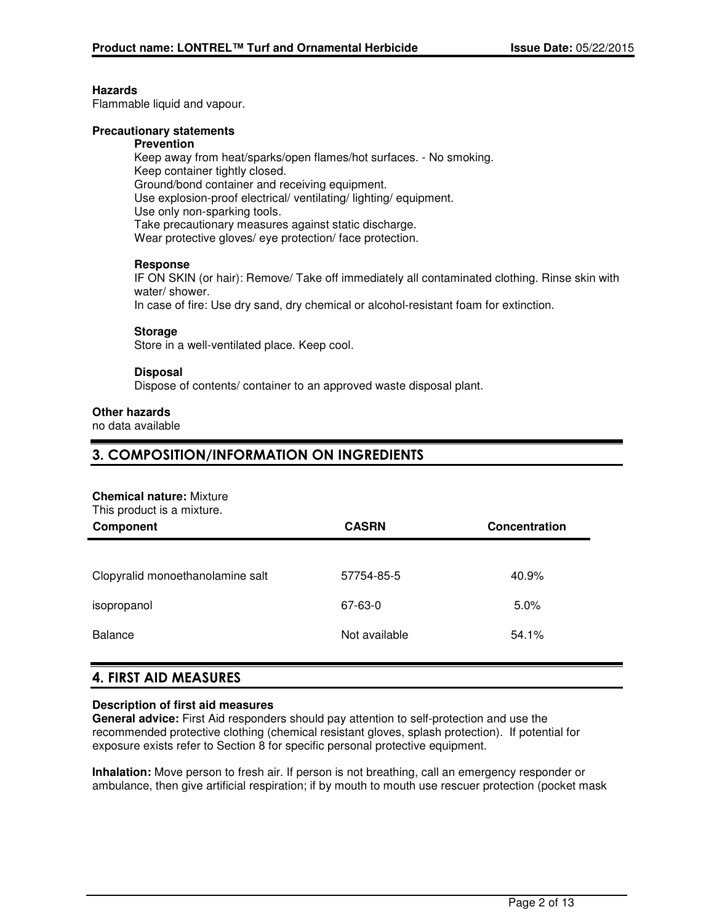### **Hazards**

Flammable liquid and vapour.

### **Precautionary statements**

#### **Prevention**

Keep away from heat/sparks/open flames/hot surfaces. - No smoking. Keep container tightly closed. Ground/bond container and receiving equipment. Use explosion-proof electrical/ ventilating/ lighting/ equipment. Use only non-sparking tools. Take precautionary measures against static discharge. Wear protective gloves/ eye protection/ face protection.

### **Response**

IF ON SKIN (or hair): Remove/ Take off immediately all contaminated clothing. Rinse skin with water/ shower.

In case of fire: Use dry sand, dry chemical or alcohol-resistant foam for extinction.

### **Storage**

Store in a well-ventilated place. Keep cool.

### **Disposal**

Dispose of contents/ container to an approved waste disposal plant.

### **Other hazards**

no data available

### 3. COMPOSITION/INFORMATION ON INGREDIENTS

#### **Chemical nature:** Mixture

This product is a mixture.

| Component                        | <b>CASRN</b>  | Concentration |
|----------------------------------|---------------|---------------|
|                                  |               |               |
| Clopyralid monoethanolamine salt | 57754-85-5    | 40.9%         |
| isopropanol                      | 67-63-0       | 5.0%          |
| <b>Balance</b>                   | Not available | 54.1%         |

### 4. FIRST AID MEASURES

### **Description of first aid measures**

**General advice:** First Aid responders should pay attention to self-protection and use the recommended protective clothing (chemical resistant gloves, splash protection). If potential for exposure exists refer to Section 8 for specific personal protective equipment.

**Inhalation:** Move person to fresh air. If person is not breathing, call an emergency responder or ambulance, then give artificial respiration; if by mouth to mouth use rescuer protection (pocket mask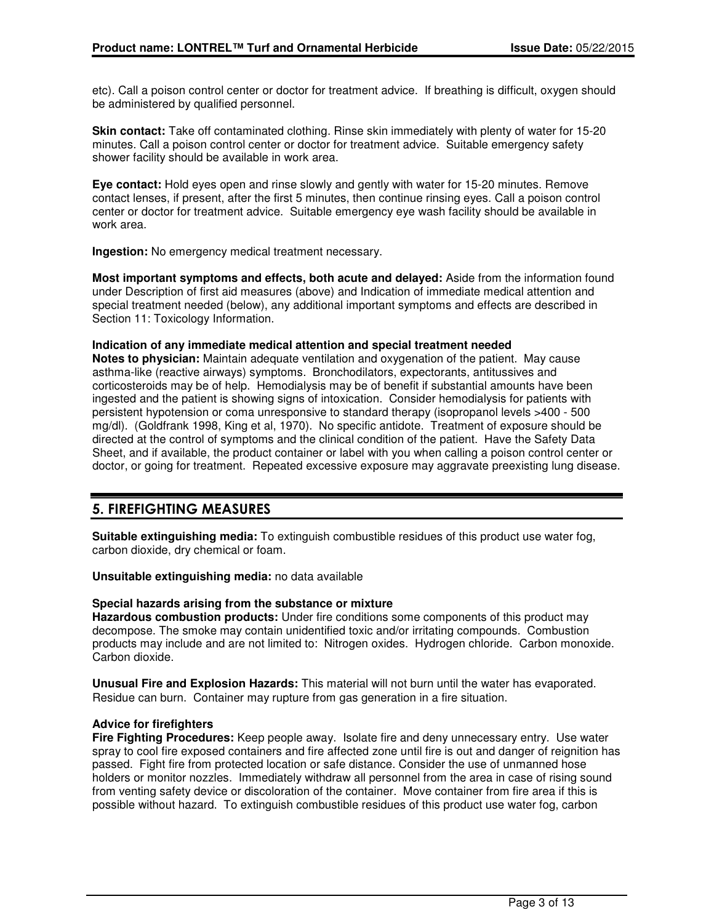etc). Call a poison control center or doctor for treatment advice. If breathing is difficult, oxygen should be administered by qualified personnel.

**Skin contact:** Take off contaminated clothing. Rinse skin immediately with plenty of water for 15-20 minutes. Call a poison control center or doctor for treatment advice. Suitable emergency safety shower facility should be available in work area.

**Eye contact:** Hold eyes open and rinse slowly and gently with water for 15-20 minutes. Remove contact lenses, if present, after the first 5 minutes, then continue rinsing eyes. Call a poison control center or doctor for treatment advice. Suitable emergency eye wash facility should be available in work area.

**Ingestion:** No emergency medical treatment necessary.

**Most important symptoms and effects, both acute and delayed:** Aside from the information found under Description of first aid measures (above) and Indication of immediate medical attention and special treatment needed (below), any additional important symptoms and effects are described in Section 11: Toxicology Information.

### **Indication of any immediate medical attention and special treatment needed**

**Notes to physician:** Maintain adequate ventilation and oxygenation of the patient. May cause asthma-like (reactive airways) symptoms. Bronchodilators, expectorants, antitussives and corticosteroids may be of help. Hemodialysis may be of benefit if substantial amounts have been ingested and the patient is showing signs of intoxication. Consider hemodialysis for patients with persistent hypotension or coma unresponsive to standard therapy (isopropanol levels >400 - 500 mg/dl). (Goldfrank 1998, King et al, 1970). No specific antidote. Treatment of exposure should be directed at the control of symptoms and the clinical condition of the patient. Have the Safety Data Sheet, and if available, the product container or label with you when calling a poison control center or doctor, or going for treatment. Repeated excessive exposure may aggravate preexisting lung disease.

# 5. FIREFIGHTING MEASURES

**Suitable extinguishing media:** To extinguish combustible residues of this product use water fog, carbon dioxide, dry chemical or foam.

**Unsuitable extinguishing media:** no data available

### **Special hazards arising from the substance or mixture**

**Hazardous combustion products:** Under fire conditions some components of this product may decompose. The smoke may contain unidentified toxic and/or irritating compounds. Combustion products may include and are not limited to: Nitrogen oxides. Hydrogen chloride. Carbon monoxide. Carbon dioxide.

**Unusual Fire and Explosion Hazards:** This material will not burn until the water has evaporated. Residue can burn. Container may rupture from gas generation in a fire situation.

### **Advice for firefighters**

**Fire Fighting Procedures:** Keep people away. Isolate fire and deny unnecessary entry. Use water spray to cool fire exposed containers and fire affected zone until fire is out and danger of reignition has passed. Fight fire from protected location or safe distance. Consider the use of unmanned hose holders or monitor nozzles. Immediately withdraw all personnel from the area in case of rising sound from venting safety device or discoloration of the container. Move container from fire area if this is possible without hazard. To extinguish combustible residues of this product use water fog, carbon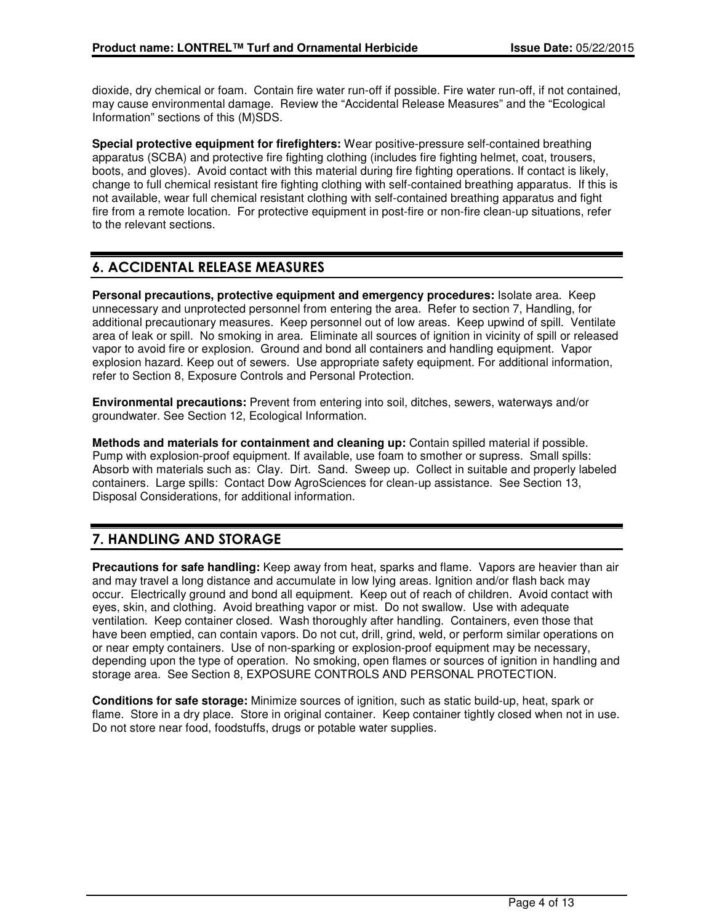dioxide, dry chemical or foam. Contain fire water run-off if possible. Fire water run-off, if not contained, may cause environmental damage. Review the "Accidental Release Measures" and the "Ecological Information" sections of this (M)SDS.

**Special protective equipment for firefighters:** Wear positive-pressure self-contained breathing apparatus (SCBA) and protective fire fighting clothing (includes fire fighting helmet, coat, trousers, boots, and gloves). Avoid contact with this material during fire fighting operations. If contact is likely, change to full chemical resistant fire fighting clothing with self-contained breathing apparatus. If this is not available, wear full chemical resistant clothing with self-contained breathing apparatus and fight fire from a remote location. For protective equipment in post-fire or non-fire clean-up situations, refer to the relevant sections.

# 6. ACCIDENTAL RELEASE MEASURES

**Personal precautions, protective equipment and emergency procedures:** Isolate area. Keep unnecessary and unprotected personnel from entering the area. Refer to section 7, Handling, for additional precautionary measures. Keep personnel out of low areas. Keep upwind of spill. Ventilate area of leak or spill. No smoking in area. Eliminate all sources of ignition in vicinity of spill or released vapor to avoid fire or explosion. Ground and bond all containers and handling equipment. Vapor explosion hazard. Keep out of sewers. Use appropriate safety equipment. For additional information, refer to Section 8, Exposure Controls and Personal Protection.

**Environmental precautions:** Prevent from entering into soil, ditches, sewers, waterways and/or groundwater. See Section 12, Ecological Information.

**Methods and materials for containment and cleaning up:** Contain spilled material if possible. Pump with explosion-proof equipment. If available, use foam to smother or supress. Small spills: Absorb with materials such as: Clay. Dirt. Sand. Sweep up. Collect in suitable and properly labeled containers. Large spills: Contact Dow AgroSciences for clean-up assistance. See Section 13, Disposal Considerations, for additional information.

# 7. HANDLING AND STORAGE

**Precautions for safe handling:** Keep away from heat, sparks and flame. Vapors are heavier than air and may travel a long distance and accumulate in low lying areas. Ignition and/or flash back may occur. Electrically ground and bond all equipment. Keep out of reach of children. Avoid contact with eyes, skin, and clothing. Avoid breathing vapor or mist. Do not swallow. Use with adequate ventilation. Keep container closed. Wash thoroughly after handling. Containers, even those that have been emptied, can contain vapors. Do not cut, drill, grind, weld, or perform similar operations on or near empty containers. Use of non-sparking or explosion-proof equipment may be necessary, depending upon the type of operation. No smoking, open flames or sources of ignition in handling and storage area. See Section 8, EXPOSURE CONTROLS AND PERSONAL PROTECTION.

**Conditions for safe storage:** Minimize sources of ignition, such as static build-up, heat, spark or flame. Store in a dry place. Store in original container. Keep container tightly closed when not in use. Do not store near food, foodstuffs, drugs or potable water supplies.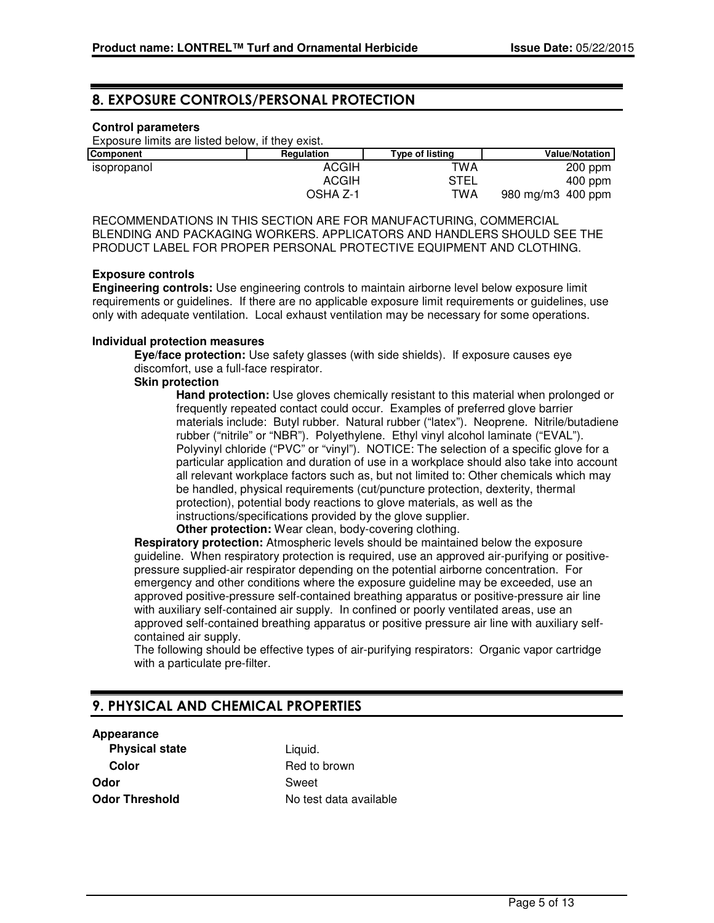### 8. EXPOSURE CONTROLS/PERSONAL PROTECTION

### **Control parameters**

Exposure limits are listed below, if they exist.

| <b>Component</b> | Regulation   | <b>Type of listing</b> | <b>Value/Notation</b>  |
|------------------|--------------|------------------------|------------------------|
| isopropanol      | <b>ACGIH</b> | TWA                    | $200$ ppm              |
|                  | ACGIH        | STEL                   | $400$ ppm              |
|                  | OSHA Z-1     | TWA                    | 980 mg/m $3\,$ 400 ppm |

RECOMMENDATIONS IN THIS SECTION ARE FOR MANUFACTURING, COMMERCIAL BLENDING AND PACKAGING WORKERS. APPLICATORS AND HANDLERS SHOULD SEE THE PRODUCT LABEL FOR PROPER PERSONAL PROTECTIVE EQUIPMENT AND CLOTHING.

### **Exposure controls**

**Engineering controls:** Use engineering controls to maintain airborne level below exposure limit requirements or guidelines. If there are no applicable exposure limit requirements or guidelines, use only with adequate ventilation. Local exhaust ventilation may be necessary for some operations.

### **Individual protection measures**

**Eye/face protection:** Use safety glasses (with side shields). If exposure causes eye discomfort, use a full-face respirator.

### **Skin protection**

**Hand protection:** Use gloves chemically resistant to this material when prolonged or frequently repeated contact could occur. Examples of preferred glove barrier materials include: Butyl rubber. Natural rubber ("latex"). Neoprene. Nitrile/butadiene rubber ("nitrile" or "NBR"). Polyethylene. Ethyl vinyl alcohol laminate ("EVAL"). Polyvinyl chloride ("PVC" or "vinyl"). NOTICE: The selection of a specific glove for a particular application and duration of use in a workplace should also take into account all relevant workplace factors such as, but not limited to: Other chemicals which may be handled, physical requirements (cut/puncture protection, dexterity, thermal protection), potential body reactions to glove materials, as well as the instructions/specifications provided by the glove supplier.

**Other protection:** Wear clean, body-covering clothing.

**Respiratory protection:** Atmospheric levels should be maintained below the exposure guideline. When respiratory protection is required, use an approved air-purifying or positivepressure supplied-air respirator depending on the potential airborne concentration. For emergency and other conditions where the exposure guideline may be exceeded, use an approved positive-pressure self-contained breathing apparatus or positive-pressure air line with auxiliary self-contained air supply. In confined or poorly ventilated areas, use an approved self-contained breathing apparatus or positive pressure air line with auxiliary selfcontained air supply.

The following should be effective types of air-purifying respirators: Organic vapor cartridge with a particulate pre-filter.

# 9. PHYSICAL AND CHEMICAL PROPERTIES

# **Appearance**

**Physical state** Liquid. **Color** Red to brown **Odor** Sweet

**Odor Threshold** No test data available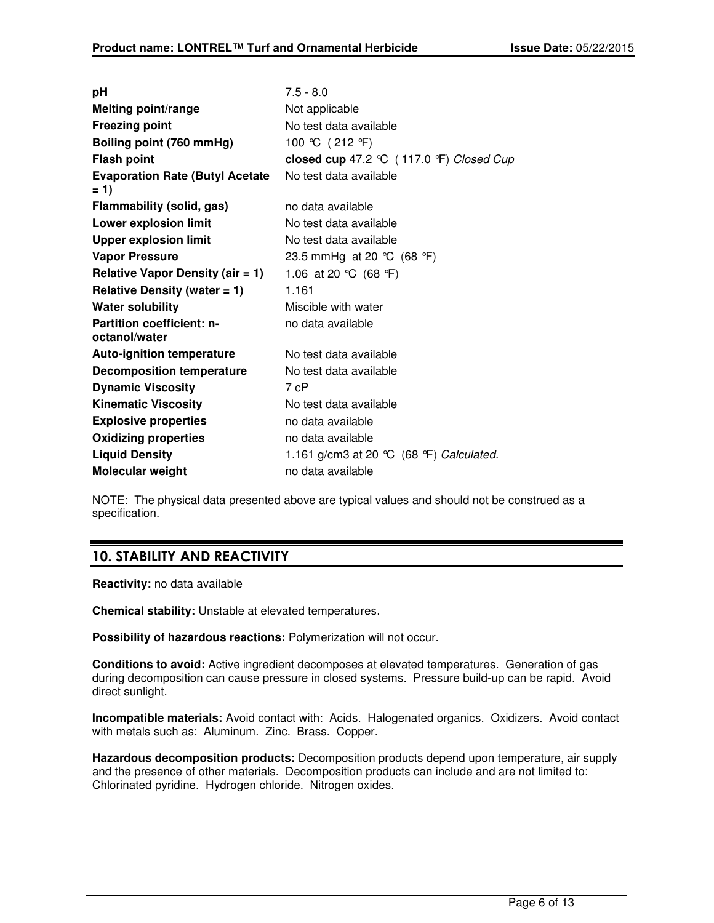| рH                                               | $7.5 - 8.0$                                   |
|--------------------------------------------------|-----------------------------------------------|
| <b>Melting point/range</b>                       | Not applicable                                |
| <b>Freezing point</b>                            | No test data available                        |
| Boiling point (760 mmHg)                         | 100 ℃ (212 °F)                                |
| <b>Flash point</b>                               | closed cup 47.2 ℃ (117.0 °F) Closed Cup       |
| <b>Evaporation Rate (Butyl Acetate)</b><br>$= 1$ | No test data available                        |
| Flammability (solid, gas)                        | no data available                             |
| <b>Lower explosion limit</b>                     | No test data available                        |
| <b>Upper explosion limit</b>                     | No test data available                        |
| <b>Vapor Pressure</b>                            | 23.5 mmHg at 20 ℃ (68 °F)                     |
| <b>Relative Vapor Density (air = 1)</b>          | 1.06 at 20 °C (68 °F)                         |
| Relative Density (water $= 1$ )                  | 1.161                                         |
| <b>Water solubility</b>                          | Miscible with water                           |
| Partition coefficient: n-<br>octanol/water       | no data available                             |
| <b>Auto-ignition temperature</b>                 | No test data available                        |
| <b>Decomposition temperature</b>                 | No test data available                        |
| <b>Dynamic Viscosity</b>                         | 7 cP                                          |
| <b>Kinematic Viscosity</b>                       | No test data available                        |
| <b>Explosive properties</b>                      | no data available                             |
| <b>Oxidizing properties</b>                      | no data available                             |
| <b>Liquid Density</b>                            | 1.161 g/cm3 at 20 $°C$ (68 $°F$ ) Calculated. |
| Molecular weight                                 | no data available                             |

NOTE: The physical data presented above are typical values and should not be construed as a specification.

# 10. STABILITY AND REACTIVITY

**Reactivity:** no data available

**Chemical stability:** Unstable at elevated temperatures.

**Possibility of hazardous reactions:** Polymerization will not occur.

**Conditions to avoid:** Active ingredient decomposes at elevated temperatures. Generation of gas during decomposition can cause pressure in closed systems. Pressure build-up can be rapid. Avoid direct sunlight.

**Incompatible materials:** Avoid contact with: Acids. Halogenated organics. Oxidizers. Avoid contact with metals such as: Aluminum. Zinc. Brass. Copper.

**Hazardous decomposition products:** Decomposition products depend upon temperature, air supply and the presence of other materials. Decomposition products can include and are not limited to: Chlorinated pyridine. Hydrogen chloride. Nitrogen oxides.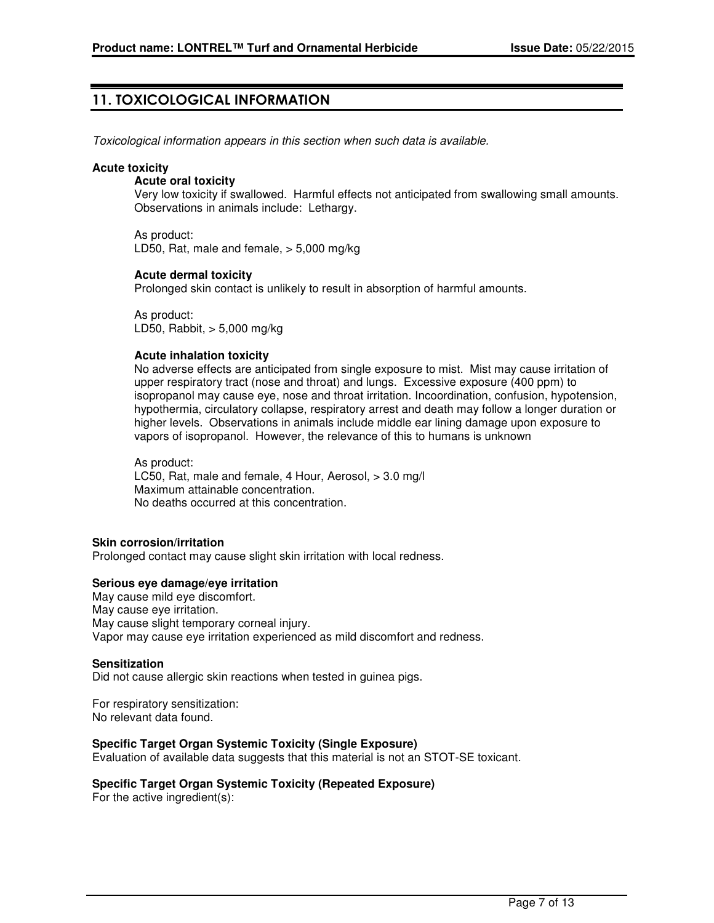### 11. TOXICOLOGICAL INFORMATION

Toxicological information appears in this section when such data is available.

### **Acute toxicity**

### **Acute oral toxicity**

Very low toxicity if swallowed. Harmful effects not anticipated from swallowing small amounts. Observations in animals include: Lethargy.

As product: LD50, Rat, male and female, > 5,000 mg/kg

### **Acute dermal toxicity**

Prolonged skin contact is unlikely to result in absorption of harmful amounts.

As product: LD50, Rabbit, > 5,000 mg/kg

### **Acute inhalation toxicity**

No adverse effects are anticipated from single exposure to mist. Mist may cause irritation of upper respiratory tract (nose and throat) and lungs. Excessive exposure (400 ppm) to isopropanol may cause eye, nose and throat irritation. Incoordination, confusion, hypotension, hypothermia, circulatory collapse, respiratory arrest and death may follow a longer duration or higher levels. Observations in animals include middle ear lining damage upon exposure to vapors of isopropanol. However, the relevance of this to humans is unknown

As product: LC50, Rat, male and female, 4 Hour, Aerosol, > 3.0 mg/l Maximum attainable concentration. No deaths occurred at this concentration.

#### **Skin corrosion/irritation**

Prolonged contact may cause slight skin irritation with local redness.

### **Serious eye damage/eye irritation**

May cause mild eye discomfort. May cause eye irritation. May cause slight temporary corneal injury. Vapor may cause eye irritation experienced as mild discomfort and redness.

#### **Sensitization**

Did not cause allergic skin reactions when tested in guinea pigs.

For respiratory sensitization: No relevant data found.

### **Specific Target Organ Systemic Toxicity (Single Exposure)**

Evaluation of available data suggests that this material is not an STOT-SE toxicant.

### **Specific Target Organ Systemic Toxicity (Repeated Exposure)**

For the active ingredient(s):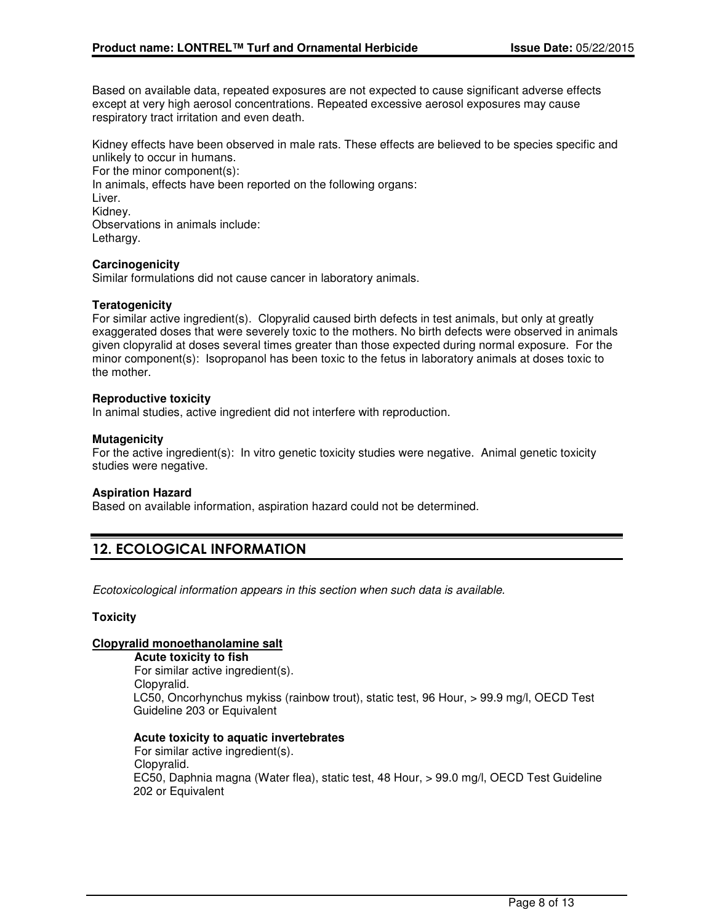Based on available data, repeated exposures are not expected to cause significant adverse effects except at very high aerosol concentrations. Repeated excessive aerosol exposures may cause respiratory tract irritation and even death.

Kidney effects have been observed in male rats. These effects are believed to be species specific and unlikely to occur in humans.

For the minor component(s): In animals, effects have been reported on the following organs: Liver. Kidney. Observations in animals include: Lethargy.

### **Carcinogenicity**

Similar formulations did not cause cancer in laboratory animals.

### **Teratogenicity**

For similar active ingredient(s). Clopyralid caused birth defects in test animals, but only at greatly exaggerated doses that were severely toxic to the mothers. No birth defects were observed in animals given clopyralid at doses several times greater than those expected during normal exposure. For the minor component(s): Isopropanol has been toxic to the fetus in laboratory animals at doses toxic to the mother.

### **Reproductive toxicity**

In animal studies, active ingredient did not interfere with reproduction.

### **Mutagenicity**

For the active ingredient(s): In vitro genetic toxicity studies were negative. Animal genetic toxicity studies were negative.

#### **Aspiration Hazard**

Based on available information, aspiration hazard could not be determined.

# 12. ECOLOGICAL INFORMATION

Ecotoxicological information appears in this section when such data is available.

### **Toxicity**

### **Clopyralid monoethanolamine salt**

**Acute toxicity to fish** For similar active ingredient(s). Clopyralid. LC50, Oncorhynchus mykiss (rainbow trout), static test, 96 Hour, > 99.9 mg/l, OECD Test Guideline 203 or Equivalent

#### **Acute toxicity to aquatic invertebrates**

For similar active ingredient(s). Clopyralid. EC50, Daphnia magna (Water flea), static test, 48 Hour, > 99.0 mg/l, OECD Test Guideline 202 or Equivalent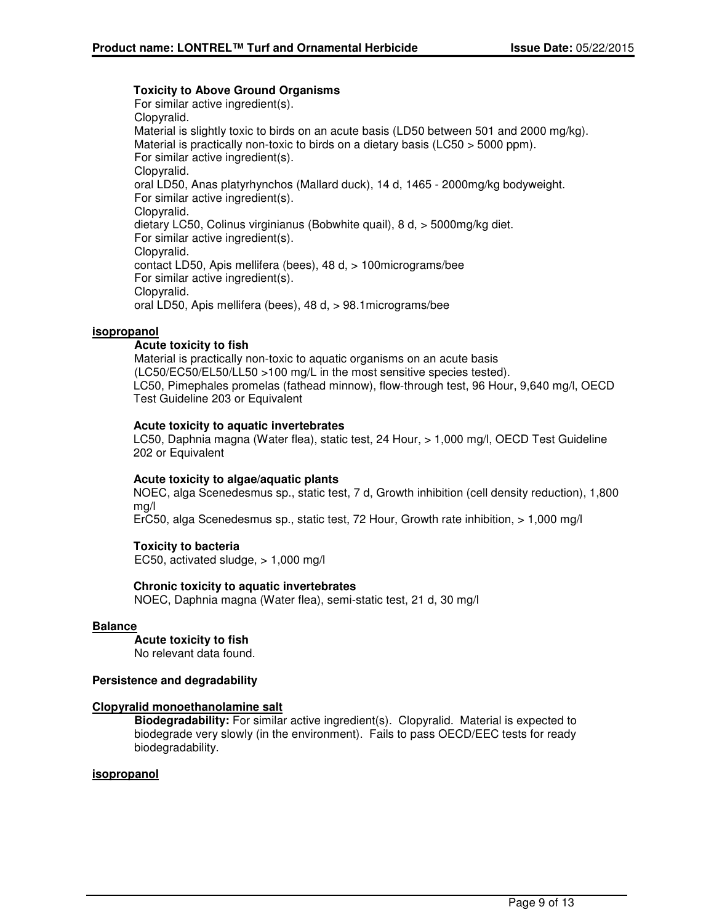### **Toxicity to Above Ground Organisms**

For similar active ingredient(s). Clopyralid. Material is slightly toxic to birds on an acute basis (LD50 between 501 and 2000 mg/kg). Material is practically non-toxic to birds on a dietary basis (LC50 > 5000 ppm). For similar active ingredient(s). Clopyralid. oral LD50, Anas platyrhynchos (Mallard duck), 14 d, 1465 - 2000mg/kg bodyweight. For similar active ingredient(s). Clopyralid. dietary LC50, Colinus virginianus (Bobwhite quail), 8 d, > 5000mg/kg diet. For similar active ingredient(s). Clopyralid. contact LD50, Apis mellifera (bees), 48 d, > 100micrograms/bee For similar active ingredient(s). Clopyralid. oral LD50, Apis mellifera (bees), 48 d, > 98.1micrograms/bee

### **isopropanol**

### **Acute toxicity to fish**

Material is practically non-toxic to aquatic organisms on an acute basis (LC50/EC50/EL50/LL50 >100 mg/L in the most sensitive species tested). LC50, Pimephales promelas (fathead minnow), flow-through test, 96 Hour, 9,640 mg/l, OECD Test Guideline 203 or Equivalent

### **Acute toxicity to aquatic invertebrates**

LC50, Daphnia magna (Water flea), static test, 24 Hour, > 1,000 mg/l, OECD Test Guideline 202 or Equivalent

#### **Acute toxicity to algae/aquatic plants**

NOEC, alga Scenedesmus sp., static test, 7 d, Growth inhibition (cell density reduction), 1,800 mg/l

ErC50, alga Scenedesmus sp., static test, 72 Hour, Growth rate inhibition, > 1,000 mg/l

### **Toxicity to bacteria**

EC50, activated sludge, > 1,000 mg/l

### **Chronic toxicity to aquatic invertebrates**

NOEC, Daphnia magna (Water flea), semi-static test, 21 d, 30 mg/l

#### **Balance**

**Acute toxicity to fish**

No relevant data found.

### **Persistence and degradability**

#### **Clopyralid monoethanolamine salt**

**Biodegradability:** For similar active ingredient(s). Clopyralid. Material is expected to biodegrade very slowly (in the environment). Fails to pass OECD/EEC tests for ready biodegradability.

#### **isopropanol**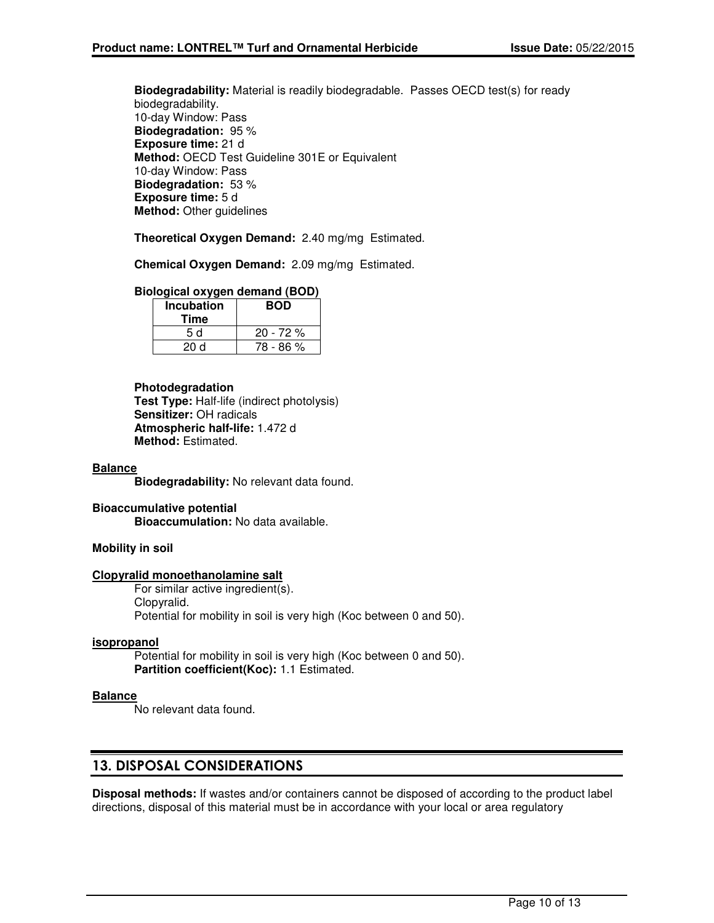**Biodegradability:** Material is readily biodegradable. Passes OECD test(s) for ready biodegradability. 10-day Window: Pass **Biodegradation:** 95 % **Exposure time:** 21 d **Method:** OECD Test Guideline 301E or Equivalent 10-day Window: Pass **Biodegradation:** 53 % **Exposure time:** 5 d **Method:** Other guidelines

**Theoretical Oxygen Demand:** 2.40 mg/mg Estimated.

**Chemical Oxygen Demand:** 2.09 mg/mg Estimated.

### **Biological oxygen demand (BOD)**

| <b>Incubation</b><br>Time | <b>BOD</b> |
|---------------------------|------------|
| 5 d                       | $20 - 72%$ |
| 20d                       | 78 - 86 %  |

### **Photodegradation**

**Test Type:** Half-life (indirect photolysis) **Sensitizer:** OH radicals **Atmospheric half-life:** 1.472 d **Method:** Estimated.

### **Balance**

**Biodegradability:** No relevant data found.

### **Bioaccumulative potential Bioaccumulation:** No data available.

### **Mobility in soil**

### **Clopyralid monoethanolamine salt**

For similar active ingredient(s). Clopyralid. Potential for mobility in soil is very high (Koc between 0 and 50).

#### **isopropanol**

Potential for mobility in soil is very high (Koc between 0 and 50). **Partition coefficient(Koc):** 1.1 Estimated.

### **Balance**

No relevant data found.

### 13. DISPOSAL CONSIDERATIONS

**Disposal methods:** If wastes and/or containers cannot be disposed of according to the product label directions, disposal of this material must be in accordance with your local or area regulatory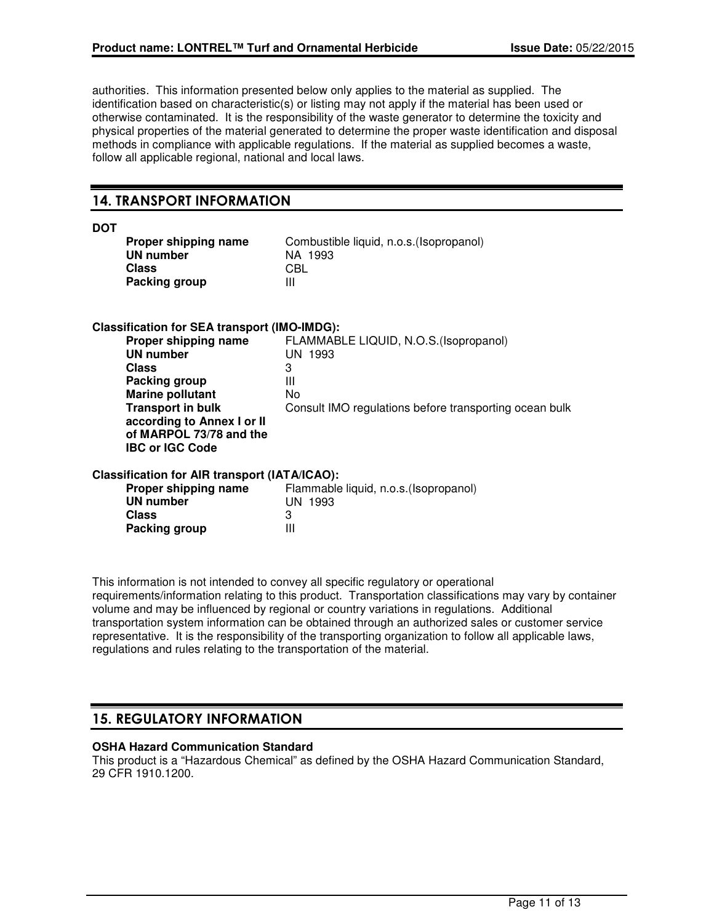authorities. This information presented below only applies to the material as supplied. The identification based on characteristic(s) or listing may not apply if the material has been used or otherwise contaminated. It is the responsibility of the waste generator to determine the toxicity and physical properties of the material generated to determine the proper waste identification and disposal methods in compliance with applicable regulations. If the material as supplied becomes a waste, follow all applicable regional, national and local laws.

### 14. TRANSPORT INFORMATION

| ۰.<br>۰.<br>۰.<br>v |
|---------------------|
|---------------------|

| Proper shipping name | Com |
|----------------------|-----|
| UN number            | ΝA  |
| Class                | CBL |
| Packing group        | Ш   |

Combustible liquid, n.o.s.(Isopropanol) **NA 1993**<br>CBL

### **Classification for SEA transport (IMO-IMDG):**

| FLAMMABLE LIQUID, N.O.S. (Isopropanol)                 |
|--------------------------------------------------------|
| UN 1993                                                |
| 3                                                      |
| Ш                                                      |
| No                                                     |
| Consult IMO regulations before transporting ocean bulk |
|                                                        |
|                                                        |
|                                                        |
|                                                        |

### **Classification for AIR transport (IATA/ICAO):**

| Proper shipping name | Flammable liquid, n.o.s. (Isopropanol) |
|----------------------|----------------------------------------|
| UN number            | UN 1993                                |
| <b>Class</b>         |                                        |
| Packing group        | Ш                                      |

This information is not intended to convey all specific regulatory or operational requirements/information relating to this product. Transportation classifications may vary by container volume and may be influenced by regional or country variations in regulations. Additional transportation system information can be obtained through an authorized sales or customer service representative. It is the responsibility of the transporting organization to follow all applicable laws, regulations and rules relating to the transportation of the material.

# 15. REGULATORY INFORMATION

### **OSHA Hazard Communication Standard**

This product is a "Hazardous Chemical" as defined by the OSHA Hazard Communication Standard, 29 CFR 1910.1200.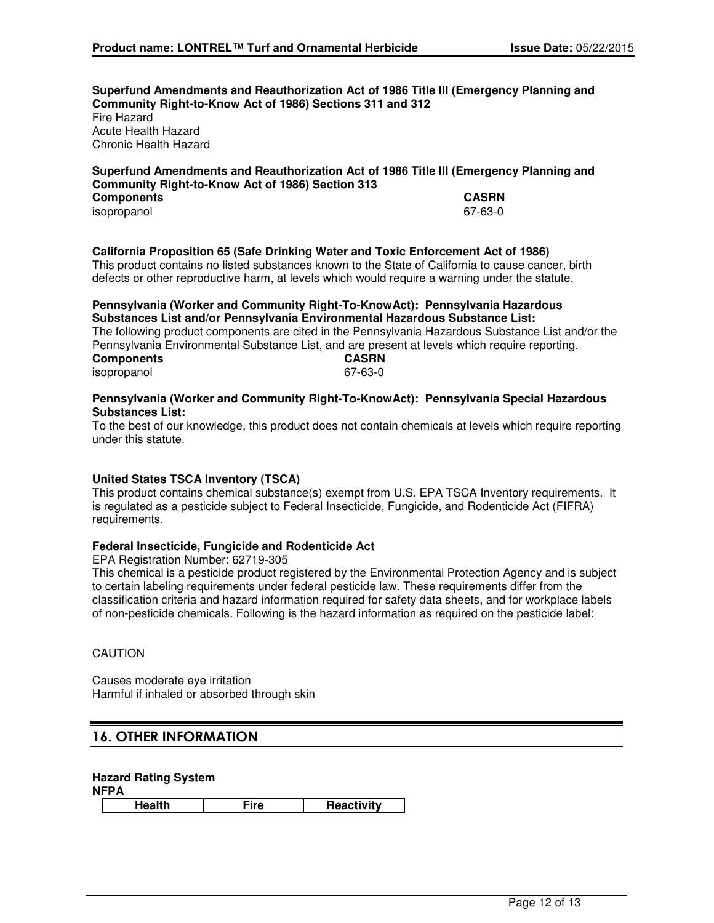**Superfund Amendments and Reauthorization Act of 1986 Title III (Emergency Planning and Community Right-to-Know Act of 1986) Sections 311 and 312** Fire Hazard Acute Health Hazard Chronic Health Hazard

### **Superfund Amendments and Reauthorization Act of 1986 Title III (Emergency Planning and Community Right-to-Know Act of 1986) Section 313 Components CASRN** isopropanol

### **California Proposition 65 (Safe Drinking Water and Toxic Enforcement Act of 1986)**

This product contains no listed substances known to the State of California to cause cancer, birth defects or other reproductive harm, at levels which would require a warning under the statute.

#### **Pennsylvania (Worker and Community Right-To-KnowAct): Pennsylvania Hazardous Substances List and/or Pennsylvania Environmental Hazardous Substance List:**

The following product components are cited in the Pennsylvania Hazardous Substance List and/or the Pennsylvania Environmental Substance List, and are present at levels which require reporting.<br> **CASRN Components** isopropanol 67-63-0

### **Pennsylvania (Worker and Community Right-To-KnowAct): Pennsylvania Special Hazardous Substances List:**

To the best of our knowledge, this product does not contain chemicals at levels which require reporting under this statute.

### **United States TSCA Inventory (TSCA)**

This product contains chemical substance(s) exempt from U.S. EPA TSCA Inventory requirements. It is regulated as a pesticide subject to Federal Insecticide, Fungicide, and Rodenticide Act (FIFRA) requirements.

### **Federal Insecticide, Fungicide and Rodenticide Act**

EPA Registration Number: 62719-305

This chemical is a pesticide product registered by the Environmental Protection Agency and is subject to certain labeling requirements under federal pesticide law. These requirements differ from the classification criteria and hazard information required for safety data sheets, and for workplace labels of non-pesticide chemicals. Following is the hazard information as required on the pesticide label:

### **CAUTION**

Causes moderate eye irritation Harmful if inhaled or absorbed through skin

### 16. OTHER INFORMATION

### **Hazard Rating System**

**NFPA**

**Health Fire Reactivity**